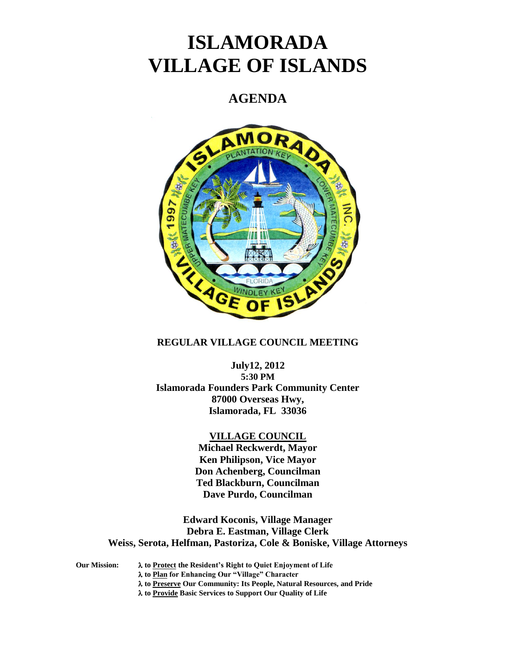# **ISLAMORADA VILLAGE OF ISLANDS**

# **AGENDA**



# **REGULAR VILLAGE COUNCIL MEETING**

# **July12, 2012 5:30 PM Islamorada Founders Park Community Center 87000 Overseas Hwy, Islamorada, FL 33036**

#### **VILLAGE COUNCIL**

**Michael Reckwerdt, Mayor Ken Philipson, Vice Mayor Don Achenberg, Councilman Ted Blackburn, Councilman Dave Purdo, Councilman**

**Edward Koconis, Village Manager Debra E. Eastman, Village Clerk Weiss, Serota, Helfman, Pastoriza, Cole & Boniske, Village Attorneys**

**Our Mission: to Protect the Resident's Right to Quiet Enjoyment of Life**

**to Plan for Enhancing Our "Village" Character**

**to Preserve Our Community: Its People, Natural Resources, and Pride**

**to Provide Basic Services to Support Our Quality of Life**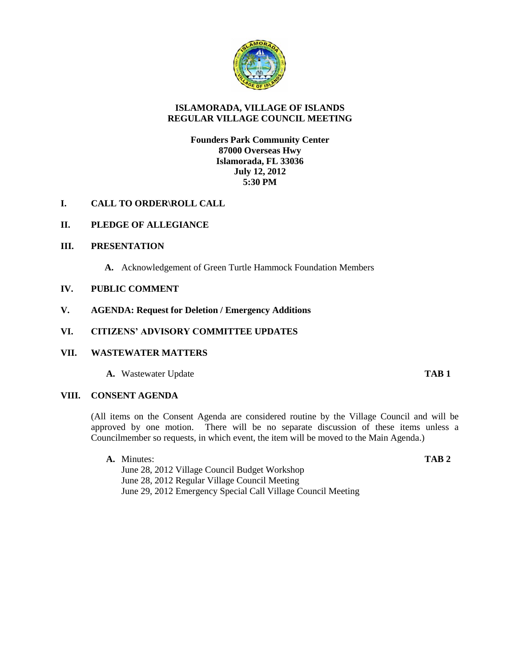

# **ISLAMORADA, VILLAGE OF ISLANDS REGULAR VILLAGE COUNCIL MEETING**

## **Founders Park Community Center 87000 Overseas Hwy Islamorada, FL 33036 July 12, 2012 5:30 PM**

# **I. CALL TO ORDER\ROLL CALL**

## **II. PLEDGE OF ALLEGIANCE**

#### **III. PRESENTATION**

**A.** Acknowledgement of Green Turtle Hammock Foundation Members

#### **IV. PUBLIC COMMENT**

**V. AGENDA: Request for Deletion / Emergency Additions**

#### **VI. CITIZENS' ADVISORY COMMITTEE UPDATES**

#### **VII. WASTEWATER MATTERS**

**A.** Wastewater Update **TAB 1**

#### **VIII. CONSENT AGENDA**

(All items on the Consent Agenda are considered routine by the Village Council and will be approved by one motion. There will be no separate discussion of these items unless a Councilmember so requests, in which event, the item will be moved to the Main Agenda.)

**A.** Minutes: **TAB 2** June 28, 2012 Village Council Budget Workshop June 28, 2012 Regular Village Council Meeting June 29, 2012 Emergency Special Call Village Council Meeting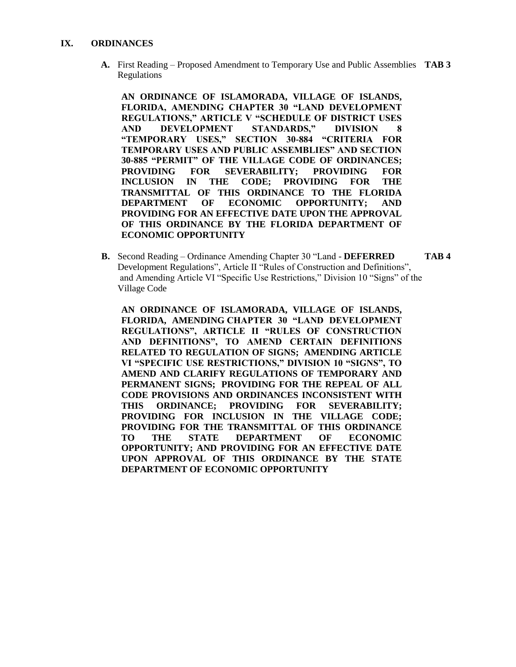#### **IX. ORDINANCES**

**A.** First Reading – Proposed Amendment to Temporary Use and Public Assemblies **TAB 3** Regulations

**AN ORDINANCE OF ISLAMORADA, VILLAGE OF ISLANDS, FLORIDA, AMENDING CHAPTER 30 "LAND DEVELOPMENT REGULATIONS," ARTICLE V "SCHEDULE OF DISTRICT USES AND DEVELOPMENT STANDARDS," DIVISION 8 "TEMPORARY USES," SECTION 30-884 "CRITERIA FOR TEMPORARY USES AND PUBLIC ASSEMBLIES" AND SECTION 30-885 "PERMIT" OF THE VILLAGE CODE OF ORDINANCES; PROVIDING FOR SEVERABILITY; PROVIDING FOR INCLUSION IN THE CODE; PROVIDING FOR THE TRANSMITTAL OF THIS ORDINANCE TO THE FLORIDA DEPARTMENT OF ECONOMIC OPPORTUNITY; AND PROVIDING FOR AN EFFECTIVE DATE UPON THE APPROVAL OF THIS ORDINANCE BY THE FLORIDA DEPARTMENT OF ECONOMIC OPPORTUNITY**

**B.** Second Reading – Ordinance Amending Chapter 30 "Land - **DEFERRED TAB 4**  Development Regulations", Article II "Rules of Construction and Definitions", and Amending Article VI "Specific Use Restrictions," Division 10 "Signs" of the Village Code

**AN ORDINANCE OF ISLAMORADA, VILLAGE OF ISLANDS, FLORIDA, AMENDING CHAPTER 30 "LAND DEVELOPMENT REGULATIONS", ARTICLE II "RULES OF CONSTRUCTION AND DEFINITIONS", TO AMEND CERTAIN DEFINITIONS RELATED TO REGULATION OF SIGNS; AMENDING ARTICLE VI "SPECIFIC USE RESTRICTIONS," DIVISION 10 "SIGNS", TO AMEND AND CLARIFY REGULATIONS OF TEMPORARY AND PERMANENT SIGNS; PROVIDING FOR THE REPEAL OF ALL CODE PROVISIONS AND ORDINANCES INCONSISTENT WITH THIS ORDINANCE; PROVIDING FOR SEVERABILITY; PROVIDING FOR INCLUSION IN THE VILLAGE CODE; PROVIDING FOR THE TRANSMITTAL OF THIS ORDINANCE TO THE STATE DEPARTMENT OF ECONOMIC OPPORTUNITY; AND PROVIDING FOR AN EFFECTIVE DATE UPON APPROVAL OF THIS ORDINANCE BY THE STATE DEPARTMENT OF ECONOMIC OPPORTUNITY**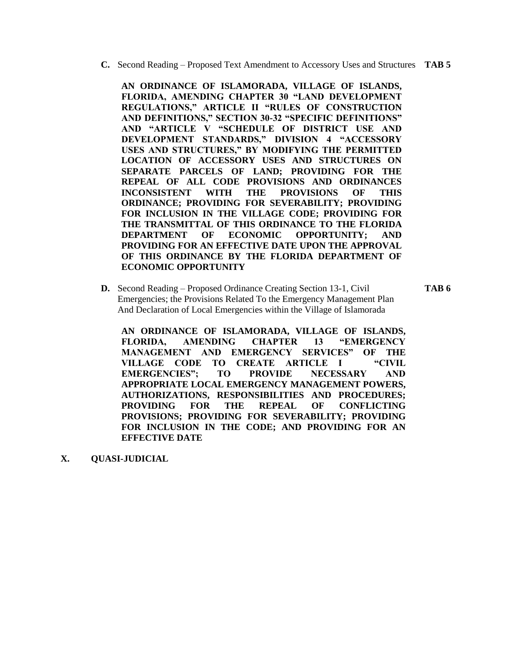**C.** Second Reading – Proposed Text Amendment to Accessory Uses and Structures **TAB 5**

**AN ORDINANCE OF ISLAMORADA, VILLAGE OF ISLANDS, FLORIDA, AMENDING CHAPTER 30 "LAND DEVELOPMENT REGULATIONS," ARTICLE II "RULES OF CONSTRUCTION AND DEFINITIONS," SECTION 30-32 "SPECIFIC DEFINITIONS" AND "ARTICLE V "SCHEDULE OF DISTRICT USE AND DEVELOPMENT STANDARDS," DIVISION 4 "ACCESSORY USES AND STRUCTURES," BY MODIFYING THE PERMITTED LOCATION OF ACCESSORY USES AND STRUCTURES ON SEPARATE PARCELS OF LAND; PROVIDING FOR THE REPEAL OF ALL CODE PROVISIONS AND ORDINANCES INCONSISTENT WITH THE PROVISIONS OF THIS ORDINANCE; PROVIDING FOR SEVERABILITY; PROVIDING FOR INCLUSION IN THE VILLAGE CODE; PROVIDING FOR THE TRANSMITTAL OF THIS ORDINANCE TO THE FLORIDA DEPARTMENT OF ECONOMIC OPPORTUNITY; AND PROVIDING FOR AN EFFECTIVE DATE UPON THE APPROVAL OF THIS ORDINANCE BY THE FLORIDA DEPARTMENT OF ECONOMIC OPPORTUNITY**

**D.** Second Reading – Proposed Ordinance Creating Section 13-1, Civil **TAB 6** Emergencies; the Provisions Related To the Emergency Management Plan And Declaration of Local Emergencies within the Village of Islamorada

**AN ORDINANCE OF ISLAMORADA, VILLAGE OF ISLANDS, FLORIDA, AMENDING CHAPTER 13 "EMERGENCY MANAGEMENT AND EMERGENCY SERVICES" OF THE VILLAGE CODE TO CREATE ARTICLE I "CIVIL EMERGENCIES"; TO PROVIDE NECESSARY AND APPROPRIATE LOCAL EMERGENCY MANAGEMENT POWERS, AUTHORIZATIONS, RESPONSIBILITIES AND PROCEDURES; PROVIDING FOR THE REPEAL OF CONFLICTING PROVISIONS; PROVIDING FOR SEVERABILITY; PROVIDING FOR INCLUSION IN THE CODE; AND PROVIDING FOR AN EFFECTIVE DATE**

**X. QUASI-JUDICIAL**